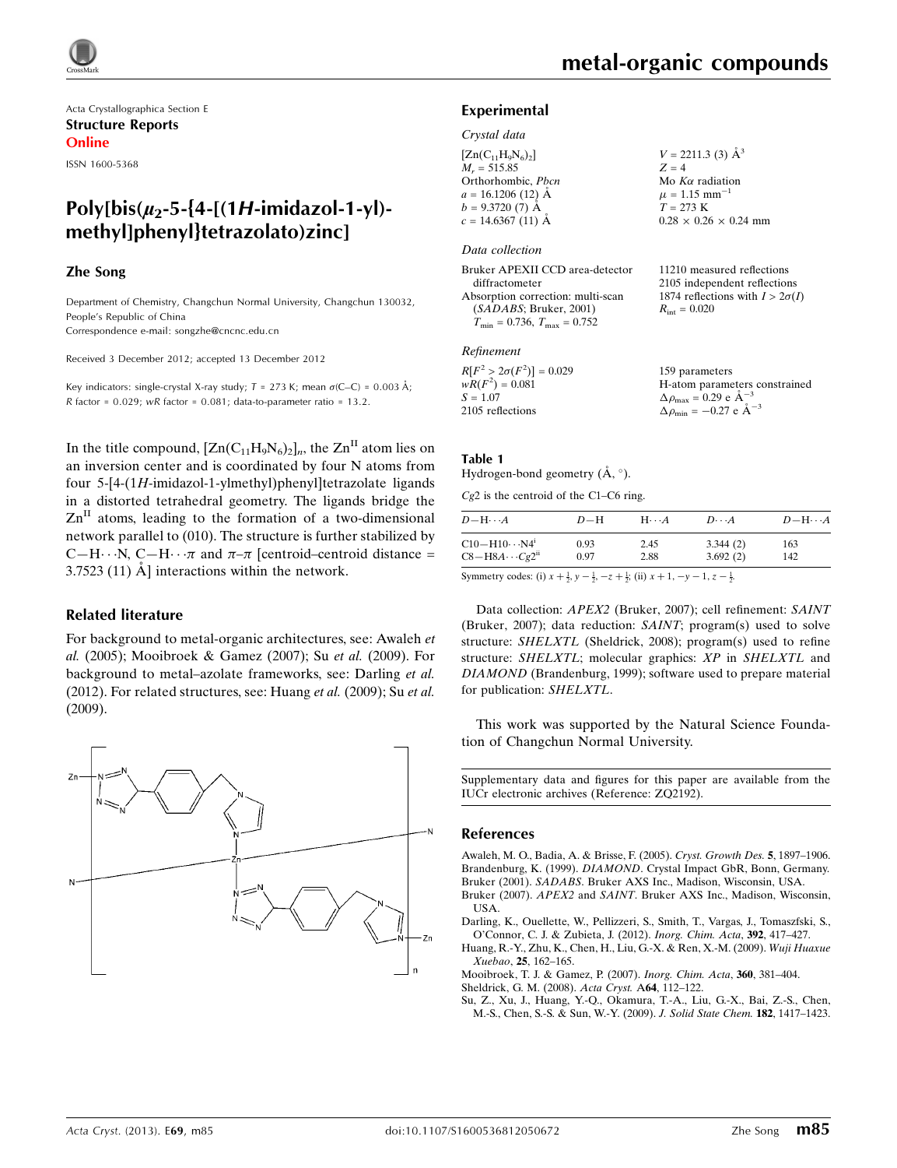Acta Crystallographica Section E Structure Reports Online

ISSN 1600-5368

# Poly[bis( $\mu_2$ -5-{4-[(1H-imidazol-1-yl)methyl]phenyl}tetrazolato)zinc]

#### Zhe Song

Department of Chemistry, Changchun Normal University, Changchun 130032, People's Republic of China Correspondence e-mail: [songzhe@cncnc.edu.cn](https://scripts.iucr.org/cgi-bin/cr.cgi?rm=pdfbb&cnor=zq2192&bbid=BB9)

Received 3 December 2012; accepted 13 December 2012

Key indicators: single-crystal X-ray study;  $T = 273$  K; mean  $\sigma$ (C–C) = 0.003 Å; R factor =  $0.029$ ; wR factor =  $0.081$ ; data-to-parameter ratio = 13.2.

In the title compound,  $[Zn(C_{11}H_9N_6)_2]_n$ , the  $Zn<sup>H</sup>$  atom lies on an inversion center and is coordinated by four N atoms from four 5-[4-(1H-imidazol-1-ylmethyl)phenyl]tetrazolate ligands in a distorted tetrahedral geometry. The ligands bridge the  $\text{Zn}^{\text{II}}$  atoms, leading to the formation of a two-dimensional network parallel to (010). The structure is further stabilized by C-H $\cdots$ N, C-H $\cdots \pi$  and  $\pi$ - $\pi$  [centroid-centroid distance =  $3.7523$  (11)  $\AA$  interactions within the network.

#### Related literature

For background to metal-organic architectures, see: Awaleh et al. (2005); Mooibroek & Gamez (2007); Su et al. (2009). For background to metal–azolate frameworks, see: Darling et al. (2012). For related structures, see: Huang et al. (2009); Su et al. (2009).



11210 measured reflections 2105 independent reflections 1874 reflections with  $I > 2\sigma(I)$ 

 $R_{\text{int}} = 0.020$ 

#### Experimental

#### Crystal data

 $[Zn(C_{11}H_9N_6)_2]$  $M_r = 515.85$ Orthorhombic, Pbcn  $a = 16.1206$  (12) Å  $b = 9.3720(7)$  Å  $c = 14.6367(11)$  Å  $V = 2211.3$  (3)  $\AA^3$  $Z = 4$ Mo  $K\alpha$  radiation  $\mu = 1.15$  mm<sup>-1</sup>  $T = 273 \text{ K}$  $0.28 \times 0.26 \times 0.24$  mm

#### Data collection

| Bruker APEXII CCD area-detector                  |
|--------------------------------------------------|
| diffractometer                                   |
| Absorption correction: multi-scan                |
| (SADABS; Bruker, 2001)                           |
| $T_{\text{min}} = 0.736, T_{\text{max}} = 0.752$ |

#### Refinement

| $R[F^2 > 2\sigma(F^2)] = 0.029$ | 159 parameters                                     |
|---------------------------------|----------------------------------------------------|
| $wR(F^2) = 0.081$               | H-atom parameters constrained                      |
| $S = 1.07$                      | $\Delta \rho_{\text{max}} = 0.29 \text{ e A}^{-3}$ |
| 2105 reflections                | $\Delta \rho_{\text{min}} = -0.27$ e $\AA^{-3}$    |

#### Table 1

Hydrogen-bond geometry  $(\mathring{A}, \degree)$ .

Cg2 is the centroid of the C1–C6 ring.

| $D$ $\!-\mathrm{H}\cdots A$ | $D-H$ | $H\cdots A$ | $D\cdots A$ | $D - H \cdots A$ |
|-----------------------------|-------|-------------|-------------|------------------|
| $C10 - H10 \cdots N4^i$     | 0.93  | 2.45        | 3.344(2)    | 163              |
| $C8 - H8A \cdots Cg2^{ii}$  | 0.97  | 2.88        | 3.692(2)    | 142              |

Symmetry codes: (i)  $x + \frac{1}{2}$ ,  $y - \frac{1}{2}$ ,  $-z + \frac{1}{2}$ ; (ii)  $x + 1$ ,  $-y - 1$ ,  $z - \frac{1}{2}$ .

Data collection: APEX2 (Bruker, 2007); cell refinement: SAINT (Bruker, 2007); data reduction: SAINT; program(s) used to solve structure: SHELXTL (Sheldrick, 2008); program(s) used to refine structure: SHELXTL; molecular graphics: XP in SHELXTL and DIAMOND (Brandenburg, 1999); software used to prepare material for publication: SHELXTL.

This work was supported by the Natural Science Foundation of Changchun Normal University.

Supplementary data and figures for this paper are available from the IUCr electronic archives (Reference: ZQ2192).

#### References

[Awaleh, M. O., Badia, A. & Brisse, F. \(2005\).](https://scripts.iucr.org/cgi-bin/cr.cgi?rm=pdfbb&cnor=zq2192&bbid=BB1) Cryst. Growth Des. 5, 1897–1906. Brandenburg, K. (1999). DIAMOND[. Crystal Impact GbR, Bonn, Germany.](https://scripts.iucr.org/cgi-bin/cr.cgi?rm=pdfbb&cnor=zq2192&bbid=BB2) Bruker (2001). SADABS[. Bruker AXS Inc., Madison, Wisconsin, USA.](https://scripts.iucr.org/cgi-bin/cr.cgi?rm=pdfbb&cnor=zq2192&bbid=BB3) Bruker (2007). APEX2 and SAINT[. Bruker AXS Inc., Madison, Wisconsin,](https://scripts.iucr.org/cgi-bin/cr.cgi?rm=pdfbb&cnor=zq2192&bbid=BB4)

[USA.](https://scripts.iucr.org/cgi-bin/cr.cgi?rm=pdfbb&cnor=zq2192&bbid=BB4) [Darling, K., Ouellette, W., Pellizzeri, S., Smith, T., Vargas, J., Tomaszfski, S.,](https://scripts.iucr.org/cgi-bin/cr.cgi?rm=pdfbb&cnor=zq2192&bbid=BB5)

[O'Connor, C. J. & Zubieta, J. \(2012\).](https://scripts.iucr.org/cgi-bin/cr.cgi?rm=pdfbb&cnor=zq2192&bbid=BB5) Inorg. Chim. Acta, 392, 417–427.

[Huang, R.-Y., Zhu, K., Chen, H., Liu, G.-X. & Ren, X.-M. \(2009\).](https://scripts.iucr.org/cgi-bin/cr.cgi?rm=pdfbb&cnor=zq2192&bbid=BB6) Wuji Huaxue Xuebao, 25[, 162–165.](https://scripts.iucr.org/cgi-bin/cr.cgi?rm=pdfbb&cnor=zq2192&bbid=BB6)

[Mooibroek, T. J. & Gamez, P. \(2007\).](https://scripts.iucr.org/cgi-bin/cr.cgi?rm=pdfbb&cnor=zq2192&bbid=BB7) Inorg. Chim. Acta, 360, 381–404. [Sheldrick, G. M. \(2008\).](https://scripts.iucr.org/cgi-bin/cr.cgi?rm=pdfbb&cnor=zq2192&bbid=BB8) Acta Cryst. A64, 112–122.

[Su, Z., Xu, J., Huang, Y.-Q., Okamura, T.-A., Liu, G.-X., Bai, Z.-S., Chen,](https://scripts.iucr.org/cgi-bin/cr.cgi?rm=pdfbb&cnor=zq2192&bbid=BB9) [M.-S., Chen, S.-S. & Sun, W.-Y. \(2009\).](https://scripts.iucr.org/cgi-bin/cr.cgi?rm=pdfbb&cnor=zq2192&bbid=BB9) J. Solid State Chem. 182, 1417–1423.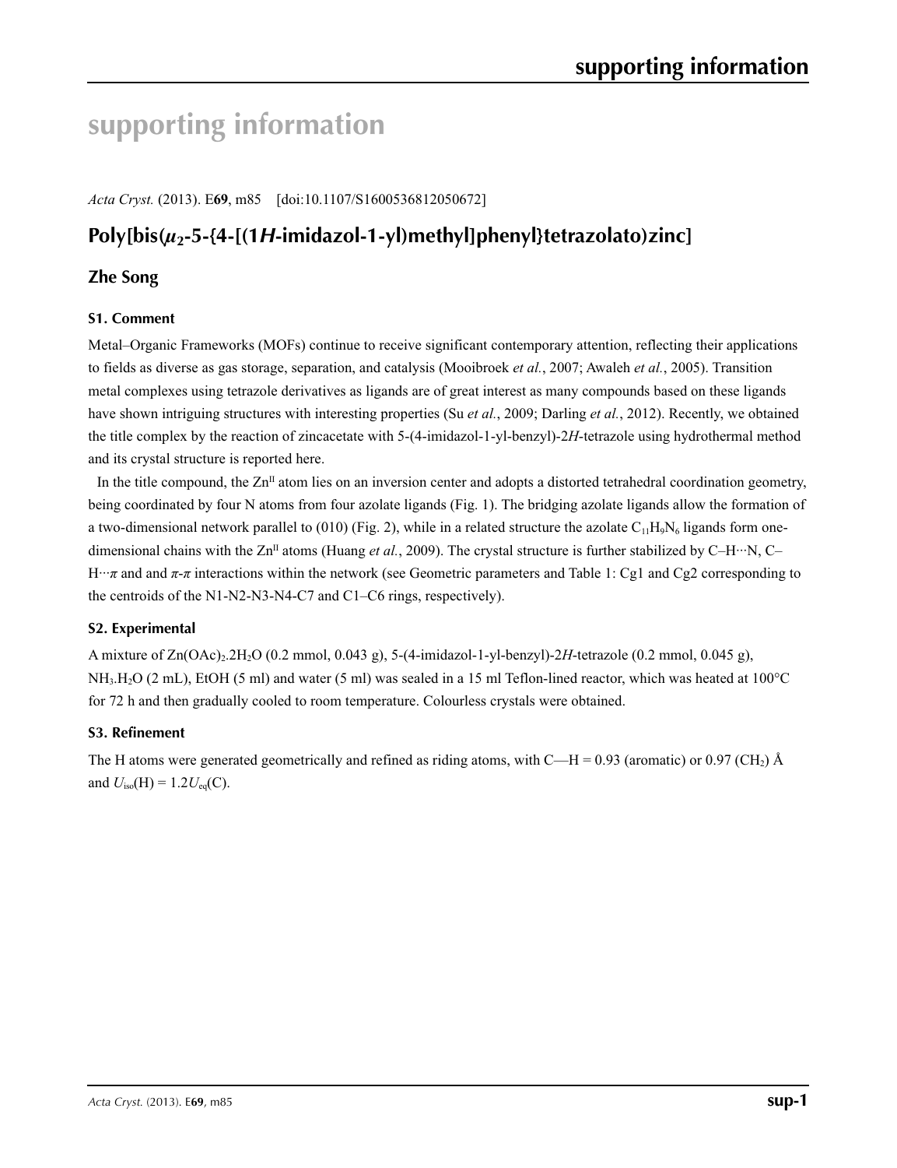# **supporting information**

*Acta Cryst.* (2013). E**69**, m85 [doi:10.1107/S1600536812050672]

# **Poly[bis(***µ***2-5-{4-[(1***H***-imidazol-1-yl)methyl]phenyl}tetrazolato)zinc]**

# **Zhe Song**

### **S1. Comment**

Metal–Organic Frameworks (MOFs) continue to receive significant contemporary attention, reflecting their applications to fields as diverse as gas storage, separation, and catalysis (Mooibroek *et al.*, 2007; Awaleh *et al.*, 2005). Transition metal complexes using tetrazole derivatives as ligands are of great interest as many compounds based on these ligands have shown intriguing structures with interesting properties (Su *et al.*, 2009; Darling *et al.*, 2012). Recently, we obtained the title complex by the reaction of zincacetate with 5-(4-imidazol-1-yl-benzyl)-2*H*-tetrazole using hydrothermal method and its crystal structure is reported here.

In the title compound, the  $Zn<sup>II</sup>$  atom lies on an inversion center and adopts a distorted tetrahedral coordination geometry, being coordinated by four N atoms from four azolate ligands (Fig. 1). The bridging azolate ligands allow the formation of a two-dimensional network parallel to (010) (Fig. 2), while in a related structure the azolate  $C_{11}H_9N_6$  ligands form onedimensional chains with the  $\text{Zn}^{\text{II}}$  atoms (Huang *et al.*, 2009). The crystal structure is further stabilized by C–H···N, C– H···*π* and and *π*-*π* interactions within the network (see Geometric parameters and Table 1: Cg1 and Cg2 corresponding to the centroids of the N1-N2-N3-N4-C7 and C1–C6 rings, respectively).

#### **S2. Experimental**

A mixture of Zn(OAc)2.2H2O (0.2 mmol, 0.043 g), 5-(4-imidazol-1-yl-benzyl)-2*H*-tetrazole (0.2 mmol, 0.045 g), NH3.H2O (2 mL), EtOH (5 ml) and water (5 ml) was sealed in a 15 ml Teflon-lined reactor, which was heated at 100°C for 72 h and then gradually cooled to room temperature. Colourless crystals were obtained.

#### **S3. Refinement**

The H atoms were generated geometrically and refined as riding atoms, with C—H = 0.93 (aromatic) or 0.97 (CH<sub>2</sub>) Å and  $U_{iso}(H) = 1.2 U_{eq}(C)$ .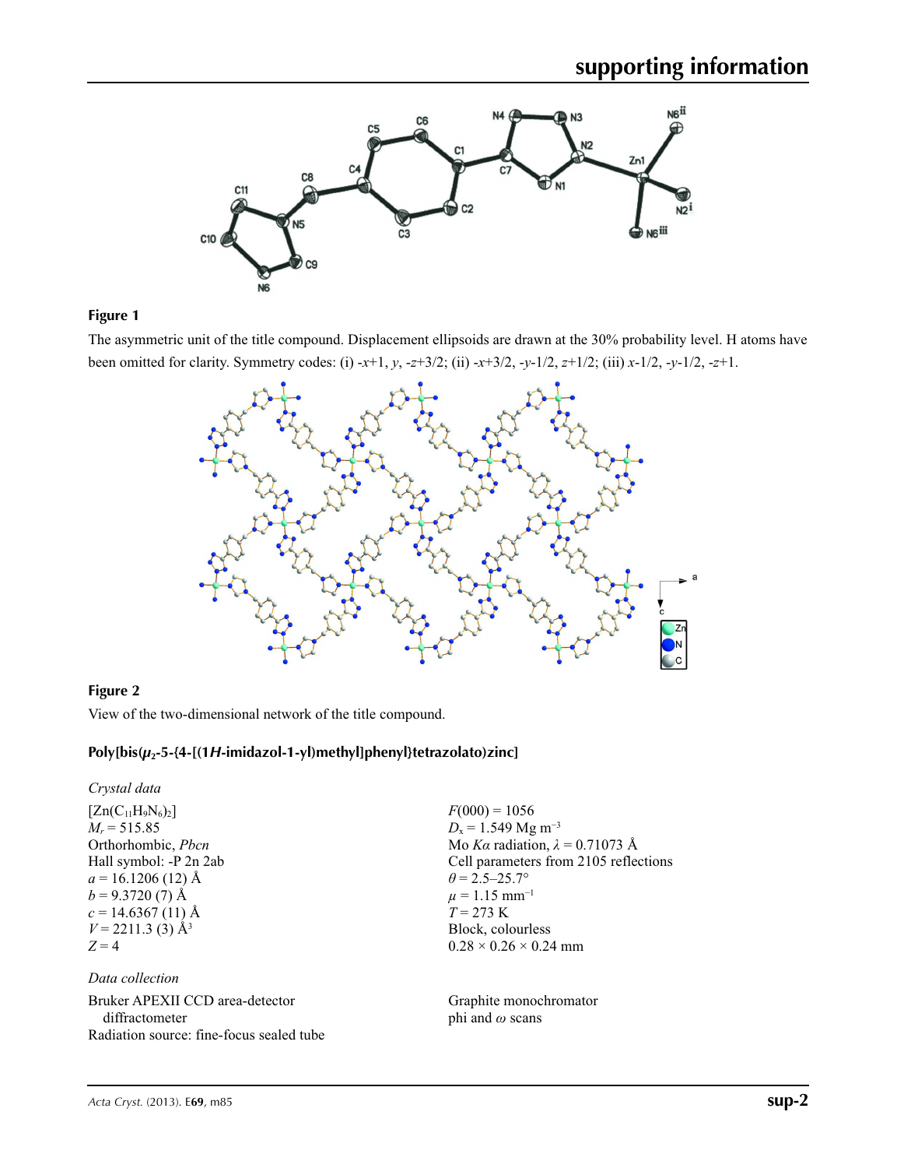

#### **Figure 1**

The asymmetric unit of the title compound. Displacement ellipsoids are drawn at the 30% probability level. H atoms have been omitted for clarity. Symmetry codes: (i) -*x*+1, *y*, -*z*+3/2; (ii) -*x*+3/2, -*y*-1/2, *z*+1/2; (iii) *x*-1/2, -*y*-1/2, -*z*+1.



## **Figure 2**

View of the two-dimensional network of the title compound.

## **Poly[bis(***µ***2-5-{4-[(1***H***-imidazol-1-yl)methyl]phenyl}tetrazolato)zinc]**

*Crystal data*

 $[Zn(C_{11}H_9N_6)_2]$  $M_r = 515.85$ Orthorhombic, *Pbcn* Hall symbol: -P 2n 2ab  $a = 16.1206(12)$  Å  $b = 9.3720(7)$  Å  $c = 14.6367(11)$  Å  $V = 2211.3$  (3)  $\AA^3$  $Z = 4$ 

#### *Data collection*

Bruker APEXII CCD area-detector diffractometer Radiation source: fine-focus sealed tube  $F(000) = 1056$  $D_x = 1.549$  Mg m<sup>-3</sup> Mo *Kα* radiation, *λ* = 0.71073 Å Cell parameters from 2105 reflections  $\theta = 2.5 - 25.7$ °  $\mu = 1.15$  mm<sup>-1</sup>  $T = 273 \text{ K}$ Block, colourless  $0.28 \times 0.26 \times 0.24$  mm

Graphite monochromator phi and *ω* scans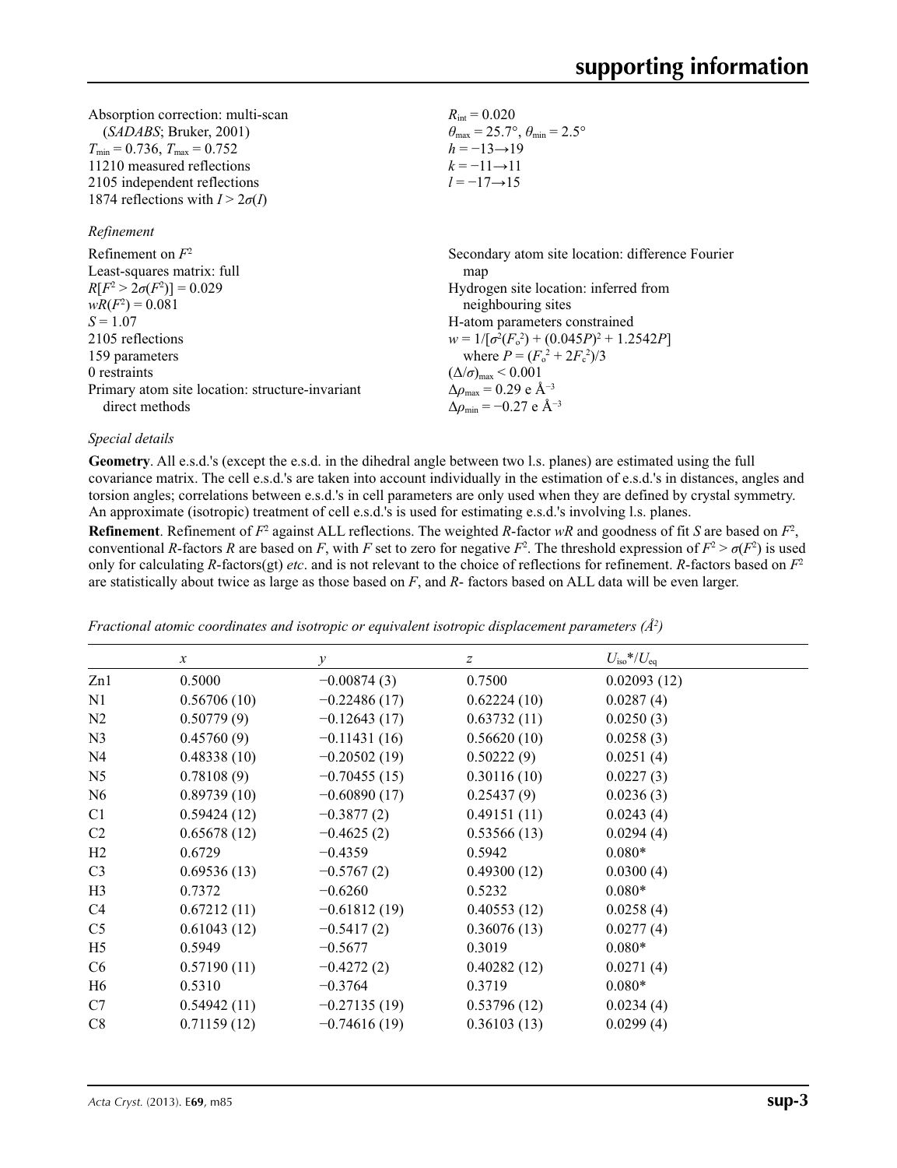| Absorption correction: multi-scan      | $R_{\rm int} = 0.020$                                                   |
|----------------------------------------|-------------------------------------------------------------------------|
| (SADABS; Bruker, 2001)                 | $\theta_{\text{max}} = 25.7^{\circ}, \theta_{\text{min}} = 2.5^{\circ}$ |
| $T_{\min}$ = 0.736, $T_{\max}$ = 0.752 | $h = -13 \rightarrow 19$                                                |
| 11210 measured reflections             | $k = -11 \rightarrow 11$                                                |
| 2105 independent reflections           | $l = -17 \rightarrow 15$                                                |
| 1874 reflections with $I > 2\sigma(I)$ |                                                                         |

#### *Refinement*

| Refinement on $F^2$                             | Secondary atom site location: difference Fourier   |
|-------------------------------------------------|----------------------------------------------------|
| Least-squares matrix: full                      | map                                                |
| $R[F^2 > 2\sigma(F^2)] = 0.029$                 | Hydrogen site location: inferred from              |
| $wR(F^2) = 0.081$                               | neighbouring sites                                 |
| $S = 1.07$                                      | H-atom parameters constrained                      |
| 2105 reflections                                | $w = 1/[\sigma^2(F_0^2) + (0.045P)^2 + 1.2542P]$   |
| 159 parameters                                  | where $P = (F_o^2 + 2F_c^2)/3$                     |
| 0 restraints                                    | $(\Delta/\sigma)_{\text{max}}$ < 0.001             |
| Primary atom site location: structure-invariant | $\Delta\rho_{\text{max}} = 0.29$ e Å <sup>-3</sup> |
| direct methods                                  | $\Delta \rho_{\rm min} = -0.27$ e Å <sup>-3</sup>  |

#### *Special details*

**Geometry**. All e.s.d.'s (except the e.s.d. in the dihedral angle between two l.s. planes) are estimated using the full covariance matrix. The cell e.s.d.'s are taken into account individually in the estimation of e.s.d.'s in distances, angles and torsion angles; correlations between e.s.d.'s in cell parameters are only used when they are defined by crystal symmetry. An approximate (isotropic) treatment of cell e.s.d.'s is used for estimating e.s.d.'s involving l.s. planes.

**Refinement**. Refinement of  $F^2$  against ALL reflections. The weighted R-factor wR and goodness of fit *S* are based on  $F^2$ , conventional *R*-factors *R* are based on *F*, with *F* set to zero for negative  $F^2$ . The threshold expression of  $F^2 > \sigma(F^2)$  is used only for calculating *R*-factors(gt) *etc*. and is not relevant to the choice of reflections for refinement. *R*-factors based on *F*<sup>2</sup> are statistically about twice as large as those based on *F*, and *R*- factors based on ALL data will be even larger.

|                | $\boldsymbol{x}$ | $\mathcal{Y}$  | $\boldsymbol{Z}$ | $U_{\rm iso}*/U_{\rm eq}$ |  |
|----------------|------------------|----------------|------------------|---------------------------|--|
| Zn1            | 0.5000           | $-0.00874(3)$  | 0.7500           | 0.02093(12)               |  |
| N1             | 0.56706(10)      | $-0.22486(17)$ | 0.62224(10)      | 0.0287(4)                 |  |
| N2             | 0.50779(9)       | $-0.12643(17)$ | 0.63732(11)      | 0.0250(3)                 |  |
| N <sub>3</sub> | 0.45760(9)       | $-0.11431(16)$ | 0.56620(10)      | 0.0258(3)                 |  |
| N <sub>4</sub> | 0.48338(10)      | $-0.20502(19)$ | 0.50222(9)       | 0.0251(4)                 |  |
| N <sub>5</sub> | 0.78108(9)       | $-0.70455(15)$ | 0.30116(10)      | 0.0227(3)                 |  |
| N <sub>6</sub> | 0.89739(10)      | $-0.60890(17)$ | 0.25437(9)       | 0.0236(3)                 |  |
| C1             | 0.59424(12)      | $-0.3877(2)$   | 0.49151(11)      | 0.0243(4)                 |  |
| C <sub>2</sub> | 0.65678(12)      | $-0.4625(2)$   | 0.53566(13)      | 0.0294(4)                 |  |
| H2             | 0.6729           | $-0.4359$      | 0.5942           | $0.080*$                  |  |
| C <sub>3</sub> | 0.69536(13)      | $-0.5767(2)$   | 0.49300(12)      | 0.0300(4)                 |  |
| H <sub>3</sub> | 0.7372           | $-0.6260$      | 0.5232           | $0.080*$                  |  |
| C4             | 0.67212(11)      | $-0.61812(19)$ | 0.40553(12)      | 0.0258(4)                 |  |
| C <sub>5</sub> | 0.61043(12)      | $-0.5417(2)$   | 0.36076(13)      | 0.0277(4)                 |  |
| H <sub>5</sub> | 0.5949           | $-0.5677$      | 0.3019           | $0.080*$                  |  |
| C <sub>6</sub> | 0.57190(11)      | $-0.4272(2)$   | 0.40282(12)      | 0.0271(4)                 |  |
| H <sub>6</sub> | 0.5310           | $-0.3764$      | 0.3719           | $0.080*$                  |  |
| C7             | 0.54942(11)      | $-0.27135(19)$ | 0.53796(12)      | 0.0234(4)                 |  |
| C8             | 0.71159(12)      | $-0.74616(19)$ | 0.36103(13)      | 0.0299(4)                 |  |
|                |                  |                |                  |                           |  |

*Fractional atomic coordinates and isotropic or equivalent isotropic displacement parameters (Å<sup>2</sup>)*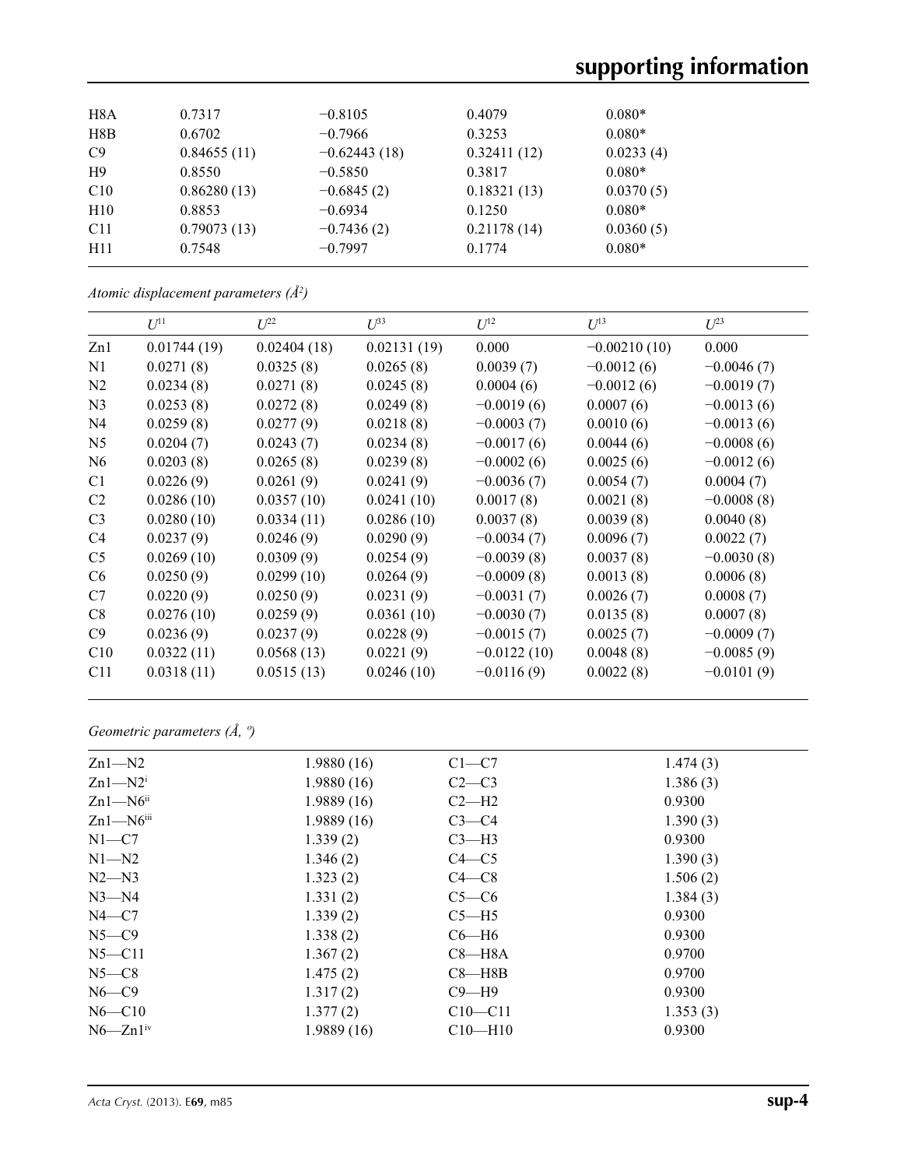| H8A | 0.7317      | $-0.8105$      | 0.4079      | $0.080*$  |
|-----|-------------|----------------|-------------|-----------|
| H8B | 0.6702      | $-0.7966$      | 0.3253      | $0.080*$  |
| C9  | 0.84655(11) | $-0.62443(18)$ | 0.32411(12) | 0.0233(4) |
| H9  | 0.8550      | $-0.5850$      | 0.3817      | $0.080*$  |
| C10 | 0.86280(13) | $-0.6845(2)$   | 0.18321(13) | 0.0370(5) |
| H10 | 0.8853      | $-0.6934$      | 0.1250      | $0.080*$  |
| C11 | 0.79073(13) | $-0.7436(2)$   | 0.21178(14) | 0.0360(5) |
| H11 | 0.7548      | $-0.7997$      | 0.1774      | $0.080*$  |
|     |             |                |             |           |

*Atomic displacement parameters (Å2 )*

|                 | $U^{11}$    | $L^{22}$    | $U^{33}$    | $U^{12}$      | $U^{13}$       | $L^{23}$     |
|-----------------|-------------|-------------|-------------|---------------|----------------|--------------|
| Zn1             | 0.01744(19) | 0.02404(18) | 0.02131(19) | 0.000         | $-0.00210(10)$ | 0.000        |
| N1              | 0.0271(8)   | 0.0325(8)   | 0.0265(8)   | 0.0039(7)     | $-0.0012(6)$   | $-0.0046(7)$ |
| N2              | 0.0234(8)   | 0.0271(8)   | 0.0245(8)   | 0.0004(6)     | $-0.0012(6)$   | $-0.0019(7)$ |
| N <sub>3</sub>  | 0.0253(8)   | 0.0272(8)   | 0.0249(8)   | $-0.0019(6)$  | 0.0007(6)      | $-0.0013(6)$ |
| N <sub>4</sub>  | 0.0259(8)   | 0.0277(9)   | 0.0218(8)   | $-0.0003(7)$  | 0.0010(6)      | $-0.0013(6)$ |
| N <sub>5</sub>  | 0.0204(7)   | 0.0243(7)   | 0.0234(8)   | $-0.0017(6)$  | 0.0044(6)      | $-0.0008(6)$ |
| N <sub>6</sub>  | 0.0203(8)   | 0.0265(8)   | 0.0239(8)   | $-0.0002(6)$  | 0.0025(6)      | $-0.0012(6)$ |
| C <sub>1</sub>  | 0.0226(9)   | 0.0261(9)   | 0.0241(9)   | $-0.0036(7)$  | 0.0054(7)      | 0.0004(7)    |
| C <sub>2</sub>  | 0.0286(10)  | 0.0357(10)  | 0.0241(10)  | 0.0017(8)     | 0.0021(8)      | $-0.0008(8)$ |
| C <sub>3</sub>  | 0.0280(10)  | 0.0334(11)  | 0.0286(10)  | 0.0037(8)     | 0.0039(8)      | 0.0040(8)    |
| C4              | 0.0237(9)   | 0.0246(9)   | 0.0290(9)   | $-0.0034(7)$  | 0.0096(7)      | 0.0022(7)    |
| C <sub>5</sub>  | 0.0269(10)  | 0.0309(9)   | 0.0254(9)   | $-0.0039(8)$  | 0.0037(8)      | $-0.0030(8)$ |
| C <sub>6</sub>  | 0.0250(9)   | 0.0299(10)  | 0.0264(9)   | $-0.0009(8)$  | 0.0013(8)      | 0.0006(8)    |
| C7              | 0.0220(9)   | 0.0250(9)   | 0.0231(9)   | $-0.0031(7)$  | 0.0026(7)      | 0.0008(7)    |
| C8              | 0.0276(10)  | 0.0259(9)   | 0.0361(10)  | $-0.0030(7)$  | 0.0135(8)      | 0.0007(8)    |
| C9              | 0.0236(9)   | 0.0237(9)   | 0.0228(9)   | $-0.0015(7)$  | 0.0025(7)      | $-0.0009(7)$ |
| C10             | 0.0322(11)  | 0.0568(13)  | 0.0221(9)   | $-0.0122(10)$ | 0.0048(8)      | $-0.0085(9)$ |
| C <sub>11</sub> | 0.0318(11)  | 0.0515(13)  | 0.0246(10)  | $-0.0116(9)$  | 0.0022(8)      | $-0.0101(9)$ |

# *Geometric parameters (Å, º)*

| $Zn1-M2$                  | 1.9880(16) | $C1-C7$     | 1.474(3) |  |
|---------------------------|------------|-------------|----------|--|
| $Zn1-M2i$                 | 1.9880(16) | $C2-C3$     | 1.386(3) |  |
| $Zn1-M6$ <sup>ii</sup>    | 1.9889(16) | $C2-H2$     | 0.9300   |  |
| $Zn1 - N6$ <sup>iii</sup> | 1.9889(16) | $C3-C4$     | 1.390(3) |  |
| $N1-C7$                   | 1.339(2)   | $C3-H3$     | 0.9300   |  |
| $N1 - N2$                 | 1.346(2)   | $C4 - C5$   | 1.390(3) |  |
| $N2 - N3$                 | 1.323(2)   | $C4 - C8$   | 1.506(2) |  |
| $N3 - N4$                 | 1.331(2)   | $C5-C6$     | 1.384(3) |  |
| $N4-C7$                   | 1.339(2)   | $C5 - H5$   | 0.9300   |  |
| $N5-C9$                   | 1.338(2)   | $C6 - H6$   | 0.9300   |  |
| $N5 - C11$                | 1.367(2)   | $C8 - H8A$  | 0.9700   |  |
| $N5-C8$                   | 1.475(2)   | $C8 - H8B$  | 0.9700   |  |
| $N6-C9$                   | 1.317(2)   | $C9 - H9$   | 0.9300   |  |
| $N6 - C10$                | 1.377(2)   | $C10 - C11$ | 1.353(3) |  |
| $N6 - Zn1$ <sup>iv</sup>  | 1.9889(16) | $C10-H10$   | 0.9300   |  |
|                           |            |             |          |  |